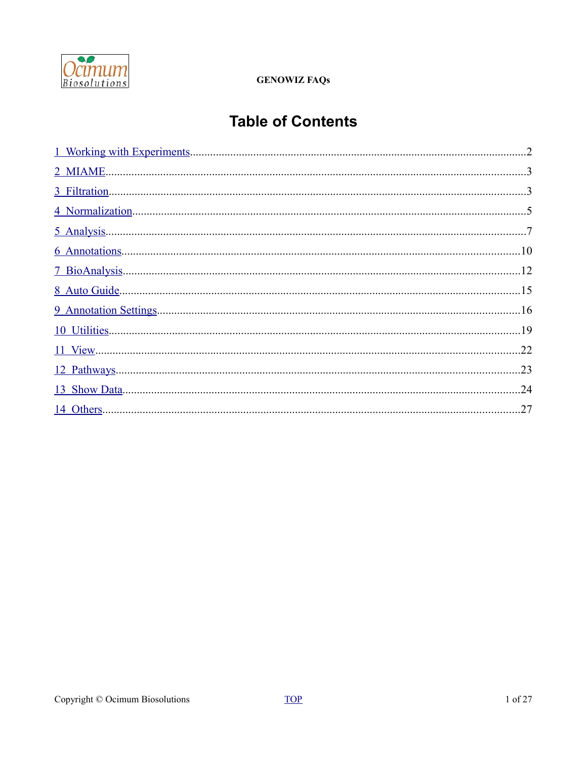

# <span id="page-0-0"></span>**Table of Contents**

| 3 Filtration. |    |
|---------------|----|
|               |    |
|               |    |
|               |    |
|               |    |
|               |    |
|               |    |
|               |    |
|               | 22 |
|               | 23 |
|               | 24 |
|               | 27 |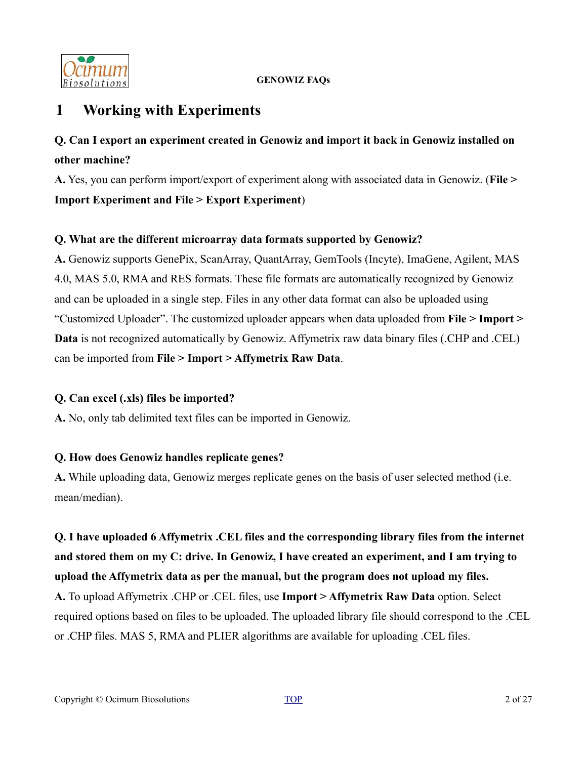

# <span id="page-1-0"></span>**1 Working with Experiments**

# **Q. Can I export an experiment created in Genowiz and import it back in Genowiz installed on other machine?**

**A.** Yes, you can perform import/export of experiment along with associated data in Genowiz. (**File > Import Experiment and File > Export Experiment**)

# **Q. What are the different microarray data formats supported by Genowiz?**

**A.** Genowiz supports GenePix, ScanArray, QuantArray, GemTools (Incyte), ImaGene, Agilent, MAS 4.0, MAS 5.0, RMA and RES formats. These file formats are automatically recognized by Genowiz and can be uploaded in a single step. Files in any other data format can also be uploaded using "Customized Uploader". The customized uploader appears when data uploaded from **File > Import > Data** is not recognized automatically by Genowiz. Affymetrix raw data binary files (.CHP and .CEL) can be imported from **File > Import > Affymetrix Raw Data**.

# **Q. Can excel (.xls) files be imported?**

**A.** No, only tab delimited text files can be imported in Genowiz.

# **Q. How does Genowiz handles replicate genes?**

**A.** While uploading data, Genowiz merges replicate genes on the basis of user selected method (i.e. mean/median).

**Q. I have uploaded 6 Affymetrix .CEL files and the corresponding library files from the internet and stored them on my C: drive. In Genowiz, I have created an experiment, and I am trying to upload the Affymetrix data as per the manual, but the program does not upload my files. A.** To upload Affymetrix .CHP or .CEL files, use **Import > Affymetrix Raw Data** option. Select required options based on files to be uploaded. The uploaded library file should correspond to the .CEL or .CHP files. MAS 5, RMA and PLIER algorithms are available for uploading .CEL files.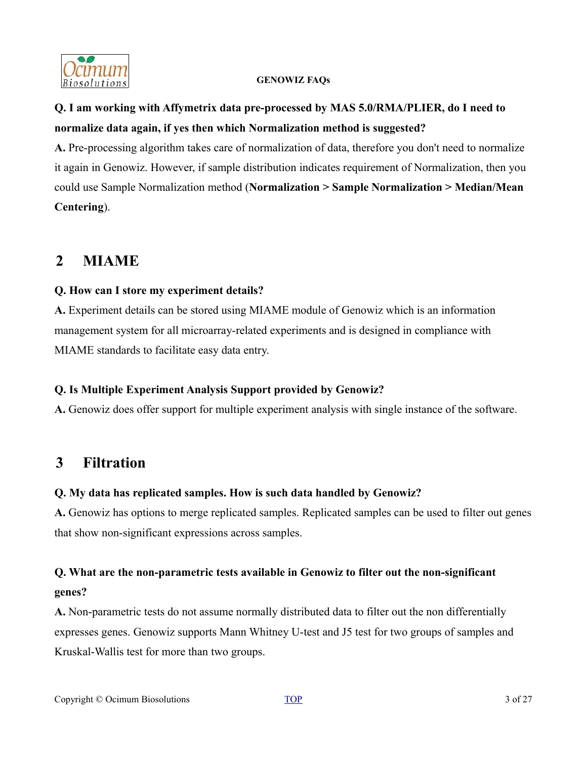

# **Q. I am working with Affymetrix data pre-processed by MAS 5.0/RMA/PLIER, do I need to normalize data again, if yes then which Normalization method is suggested?**

**A.** Pre-processing algorithm takes care of normalization of data, therefore you don't need to normalize it again in Genowiz. However, if sample distribution indicates requirement of Normalization, then you could use Sample Normalization method (**Normalization > Sample Normalization > Median/Mean Centering**).

# <span id="page-2-0"></span>**2 MIAME**

# **Q. How can I store my experiment details?**

**A.** Experiment details can be stored using MIAME module of Genowiz which is an information management system for all microarray-related experiments and is designed in compliance with MIAME standards to facilitate easy data entry.

# **Q. Is Multiple Experiment Analysis Support provided by Genowiz?**

**A.** Genowiz does offer support for multiple experiment analysis with single instance of the software.

# <span id="page-2-1"></span>**3 Filtration**

# **Q. My data has replicated samples. How is such data handled by Genowiz?**

**A.** Genowiz has options to merge replicated samples. Replicated samples can be used to filter out genes that show non-significant expressions across samples.

# **Q. What are the non-parametric tests available in Genowiz to filter out the non-significant genes?**

**A.** Non-parametric tests do not assume normally distributed data to filter out the non differentially expresses genes. Genowiz supports Mann Whitney U-test and J5 test for two groups of samples and Kruskal-Wallis test for more than two groups.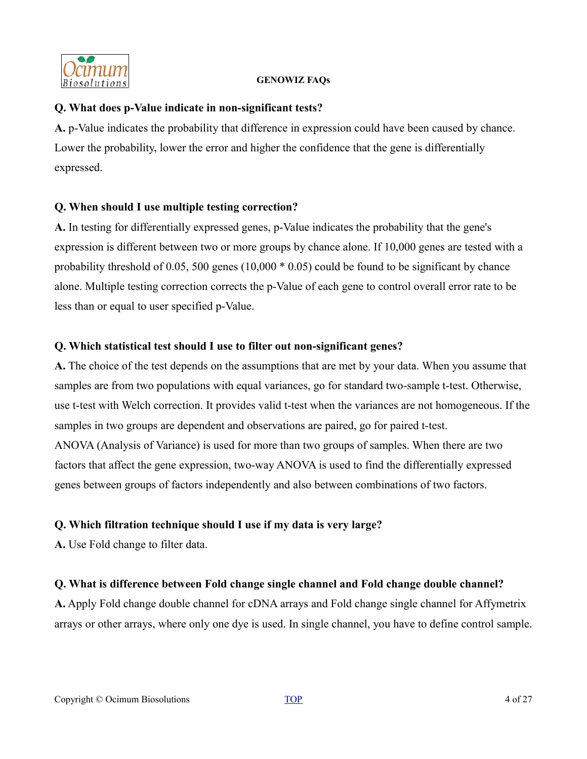

### **Q. What does p-Value indicate in non-significant tests?**

**A.** p-Value indicates the probability that difference in expression could have been caused by chance. Lower the probability, lower the error and higher the confidence that the gene is differentially expressed.

# **Q. When should I use multiple testing correction?**

**A.** In testing for differentially expressed genes, p-Value indicates the probability that the gene's expression is different between two or more groups by chance alone. If 10,000 genes are tested with a probability threshold of 0.05, 500 genes (10,000 \* 0.05) could be found to be significant by chance alone. Multiple testing correction corrects the p-Value of each gene to control overall error rate to be less than or equal to user specified p-Value.

# **Q. Which statistical test should I use to filter out non-significant genes?**

**A.** The choice of the test depends on the assumptions that are met by your data. When you assume that samples are from two populations with equal variances, go for standard two-sample t-test. Otherwise, use t-test with Welch correction. It provides valid t-test when the variances are not homogeneous. If the samples in two groups are dependent and observations are paired, go for paired t-test. ANOVA (Analysis of Variance) is used for more than two groups of samples. When there are two factors that affect the gene expression, two-way ANOVA is used to find the differentially expressed genes between groups of factors independently and also between combinations of two factors.

# **Q. Which filtration technique should I use if my data is very large?**

**A.** Use Fold change to filter data.

# **Q. What is difference between Fold change single channel and Fold change double channel?**

**A.** Apply Fold change double channel for cDNA arrays and Fold change single channel for Affymetrix arrays or other arrays, where only one dye is used. In single channel, you have to define control sample.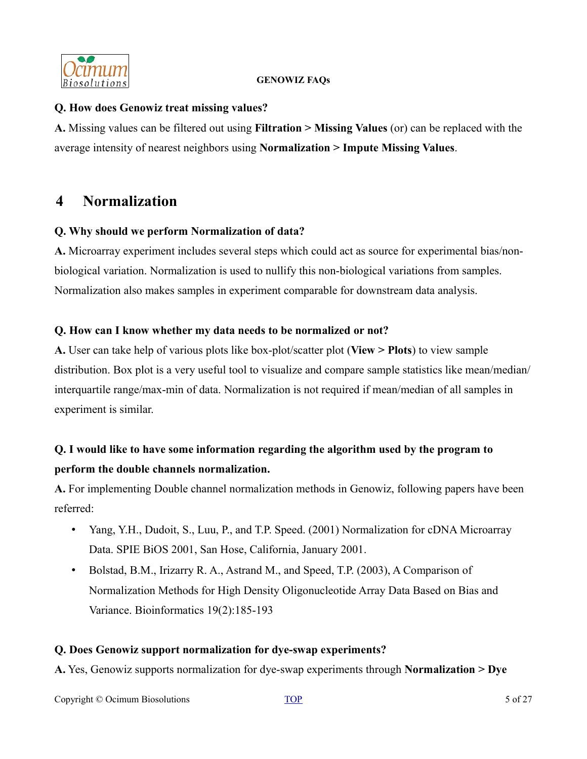

### **Q. How does Genowiz treat missing values?**

**A.** Missing values can be filtered out using **Filtration > Missing Values** (or) can be replaced with the average intensity of nearest neighbors using **Normalization > Impute Missing Values**.

# <span id="page-4-0"></span>**4 Normalization**

### **Q. Why should we perform Normalization of data?**

**A.** Microarray experiment includes several steps which could act as source for experimental bias/nonbiological variation. Normalization is used to nullify this non-biological variations from samples. Normalization also makes samples in experiment comparable for downstream data analysis.

### **Q. How can I know whether my data needs to be normalized or not?**

**A.** User can take help of various plots like box-plot/scatter plot (**View > Plots**) to view sample distribution. Box plot is a very useful tool to visualize and compare sample statistics like mean/median/ interquartile range/max-min of data. Normalization is not required if mean/median of all samples in experiment is similar.

# **Q. I would like to have some information regarding the algorithm used by the program to perform the double channels normalization.**

**A.** For implementing Double channel normalization methods in Genowiz, following papers have been referred:

- Yang, Y.H., Dudoit, S., Luu, P., and T.P. Speed. (2001) Normalization for cDNA Microarray Data. SPIE BiOS 2001, San Hose, California, January 2001.
- Bolstad, B.M., Irizarry R. A., Astrand M., and Speed, T.P. (2003), A Comparison of Normalization Methods for High Density Oligonucleotide Array Data Based on Bias and Variance. Bioinformatics 19(2):185-193

# **Q. Does Genowiz support normalization for dye-swap experiments?**

**A.** Yes, Genowiz supports normalization for dye-swap experiments through **Normalization > Dye**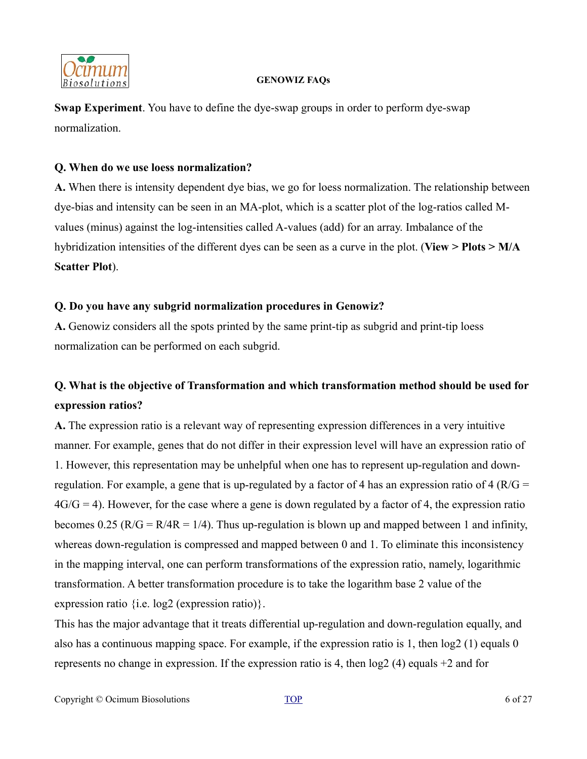

**Swap Experiment**. You have to define the dye-swap groups in order to perform dye-swap normalization.

### **Q. When do we use loess normalization?**

**A.** When there is intensity dependent dye bias, we go for loess normalization. The relationship between dye-bias and intensity can be seen in an MA-plot, which is a scatter plot of the log-ratios called Mvalues (minus) against the log-intensities called A-values (add) for an array. Imbalance of the hybridization intensities of the different dyes can be seen as a curve in the plot. (**View > Plots > M/A Scatter Plot**).

# **Q. Do you have any subgrid normalization procedures in Genowiz?**

**A.** Genowiz considers all the spots printed by the same print-tip as subgrid and print-tip loess normalization can be performed on each subgrid.

# **Q. What is the objective of Transformation and which transformation method should be used for expression ratios?**

**A.** The expression ratio is a relevant way of representing expression differences in a very intuitive manner. For example, genes that do not differ in their expression level will have an expression ratio of 1. However, this representation may be unhelpful when one has to represent up-regulation and downregulation. For example, a gene that is up-regulated by a factor of 4 has an expression ratio of 4 ( $R/G =$  $4G/G = 4$ ). However, for the case where a gene is down regulated by a factor of 4, the expression ratio becomes 0.25 ( $R/G = R/4R = 1/4$ ). Thus up-regulation is blown up and mapped between 1 and infinity, whereas down-regulation is compressed and mapped between 0 and 1. To eliminate this inconsistency in the mapping interval, one can perform transformations of the expression ratio, namely, logarithmic transformation. A better transformation procedure is to take the logarithm base 2 value of the expression ratio {i.e. log2 (expression ratio)}.

This has the major advantage that it treats differential up-regulation and down-regulation equally, and also has a continuous mapping space. For example, if the expression ratio is 1, then log2 (1) equals 0 represents no change in expression. If the expression ratio is 4, then log2 (4) equals +2 and for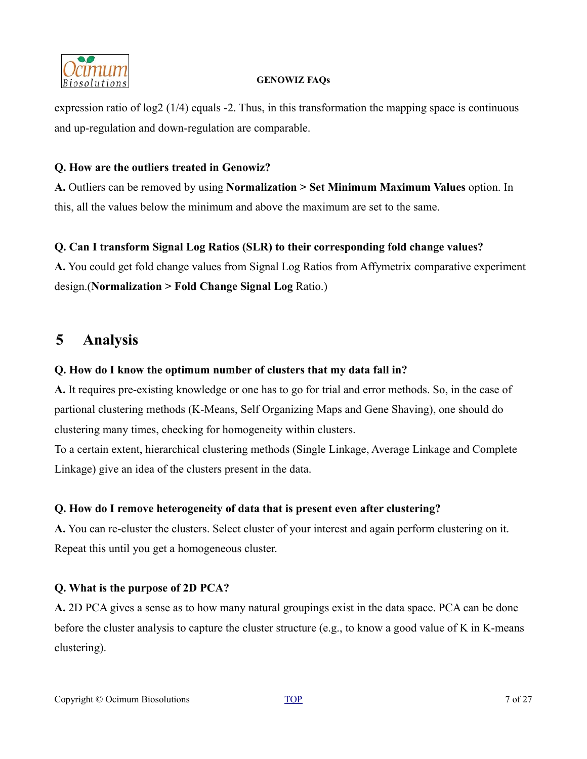

expression ratio of log2 (1/4) equals -2. Thus, in this transformation the mapping space is continuous and up-regulation and down-regulation are comparable.

### **Q. How are the outliers treated in Genowiz?**

**A.** Outliers can be removed by using **Normalization > Set Minimum Maximum Values** option. In this, all the values below the minimum and above the maximum are set to the same.

# **Q. Can I transform Signal Log Ratios (SLR) to their corresponding fold change values?**

**A.** You could get fold change values from Signal Log Ratios from Affymetrix comparative experiment design.(**Normalization > Fold Change Signal Log** Ratio.)

# <span id="page-6-0"></span>**5 Analysis**

# **Q. How do I know the optimum number of clusters that my data fall in?**

**A.** It requires pre-existing knowledge or one has to go for trial and error methods. So, in the case of partional clustering methods (K-Means, Self Organizing Maps and Gene Shaving), one should do clustering many times, checking for homogeneity within clusters.

To a certain extent, hierarchical clustering methods (Single Linkage, Average Linkage and Complete Linkage) give an idea of the clusters present in the data.

# **Q. How do I remove heterogeneity of data that is present even after clustering?**

**A.** You can re-cluster the clusters. Select cluster of your interest and again perform clustering on it. Repeat this until you get a homogeneous cluster.

# **Q. What is the purpose of 2D PCA?**

**A.** 2D PCA gives a sense as to how many natural groupings exist in the data space. PCA can be done before the cluster analysis to capture the cluster structure (e.g., to know a good value of K in K-means clustering).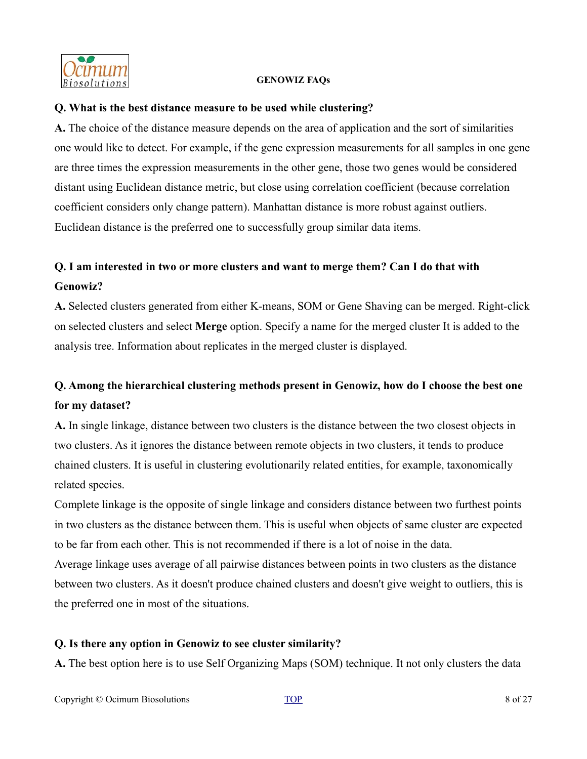

### **Q. What is the best distance measure to be used while clustering?**

**A.** The choice of the distance measure depends on the area of application and the sort of similarities one would like to detect. For example, if the gene expression measurements for all samples in one gene are three times the expression measurements in the other gene, those two genes would be considered distant using Euclidean distance metric, but close using correlation coefficient (because correlation coefficient considers only change pattern). Manhattan distance is more robust against outliers. Euclidean distance is the preferred one to successfully group similar data items.

# **Q. I am interested in two or more clusters and want to merge them? Can I do that with Genowiz?**

**A.** Selected clusters generated from either K-means, SOM or Gene Shaving can be merged. Right-click on selected clusters and select **Merge** option. Specify a name for the merged cluster It is added to the analysis tree. Information about replicates in the merged cluster is displayed.

# **Q. Among the hierarchical clustering methods present in Genowiz, how do I choose the best one for my dataset?**

**A.** In single linkage, distance between two clusters is the distance between the two closest objects in two clusters. As it ignores the distance between remote objects in two clusters, it tends to produce chained clusters. It is useful in clustering evolutionarily related entities, for example, taxonomically related species.

Complete linkage is the opposite of single linkage and considers distance between two furthest points in two clusters as the distance between them. This is useful when objects of same cluster are expected to be far from each other. This is not recommended if there is a lot of noise in the data.

Average linkage uses average of all pairwise distances between points in two clusters as the distance between two clusters. As it doesn't produce chained clusters and doesn't give weight to outliers, this is the preferred one in most of the situations.

# **Q. Is there any option in Genowiz to see cluster similarity?**

**A.** The best option here is to use Self Organizing Maps (SOM) technique. It not only clusters the data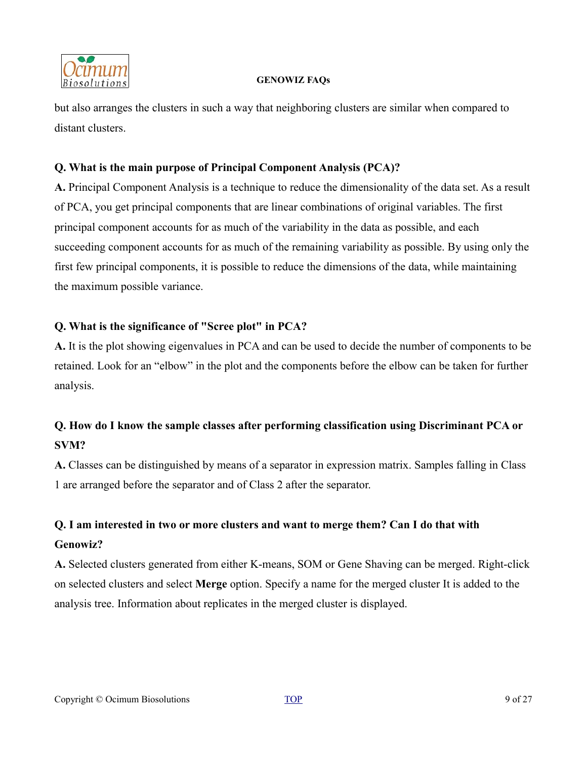

but also arranges the clusters in such a way that neighboring clusters are similar when compared to distant clusters.

# **Q. What is the main purpose of Principal Component Analysis (PCA)?**

**A.** Principal Component Analysis is a technique to reduce the dimensionality of the data set. As a result of PCA, you get principal components that are linear combinations of original variables. The first principal component accounts for as much of the variability in the data as possible, and each succeeding component accounts for as much of the remaining variability as possible. By using only the first few principal components, it is possible to reduce the dimensions of the data, while maintaining the maximum possible variance.

# **Q. What is the significance of "Scree plot" in PCA?**

**A.** It is the plot showing eigenvalues in PCA and can be used to decide the number of components to be retained. Look for an "elbow" in the plot and the components before the elbow can be taken for further analysis.

# **Q. How do I know the sample classes after performing classification using Discriminant PCA or SVM?**

**A.** Classes can be distinguished by means of a separator in expression matrix. Samples falling in Class 1 are arranged before the separator and of Class 2 after the separator.

# **Q. I am interested in two or more clusters and want to merge them? Can I do that with Genowiz?**

**A.** Selected clusters generated from either K-means, SOM or Gene Shaving can be merged. Right-click on selected clusters and select **Merge** option. Specify a name for the merged cluster It is added to the analysis tree. Information about replicates in the merged cluster is displayed.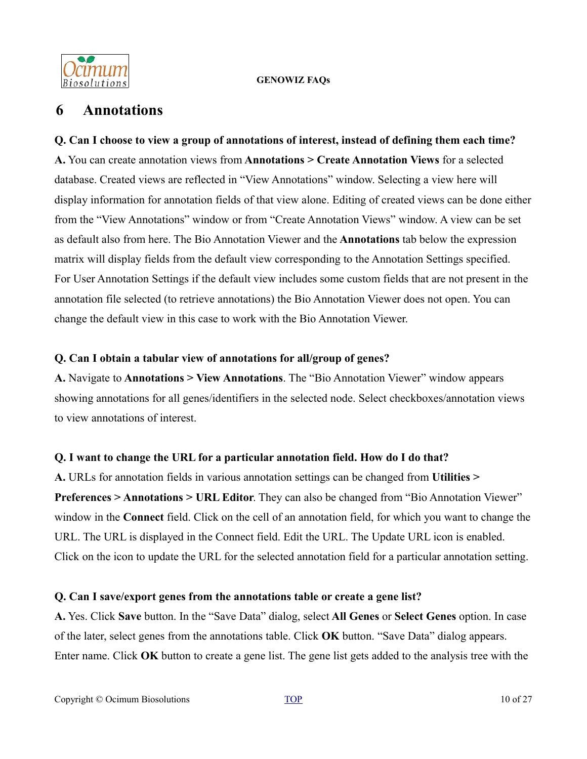

# <span id="page-9-0"></span>**6 Annotations**

**Q. Can I choose to view a group of annotations of interest, instead of defining them each time? A.** You can create annotation views from **Annotations > Create Annotation Views** for a selected database. Created views are reflected in "View Annotations" window. Selecting a view here will display information for annotation fields of that view alone. Editing of created views can be done either from the "View Annotations" window or from "Create Annotation Views" window. A view can be set as default also from here. The Bio Annotation Viewer and the **Annotations** tab below the expression matrix will display fields from the default view corresponding to the Annotation Settings specified. For User Annotation Settings if the default view includes some custom fields that are not present in the annotation file selected (to retrieve annotations) the Bio Annotation Viewer does not open. You can change the default view in this case to work with the Bio Annotation Viewer.

# **Q. Can I obtain a tabular view of annotations for all/group of genes?**

**A.** Navigate to **Annotations > View Annotations**. The "Bio Annotation Viewer" window appears showing annotations for all genes/identifiers in the selected node. Select checkboxes/annotation views to view annotations of interest.

# **Q. I want to change the URL for a particular annotation field. How do I do that?**

**A.** URLs for annotation fields in various annotation settings can be changed from **Utilities > Preferences > Annotations > URL Editor**. They can also be changed from "Bio Annotation Viewer" window in the **Connect** field. Click on the cell of an annotation field, for which you want to change the URL. The URL is displayed in the Connect field. Edit the URL. The Update URL icon is enabled. Click on the icon to update the URL for the selected annotation field for a particular annotation setting.

# **Q. Can I save/export genes from the annotations table or create a gene list?**

**A.** Yes. Click **Save** button. In the "Save Data" dialog, select **All Genes** or **Select Genes** option. In case of the later, select genes from the annotations table. Click **OK** button. "Save Data" dialog appears. Enter name. Click **OK** button to create a gene list. The gene list gets added to the analysis tree with the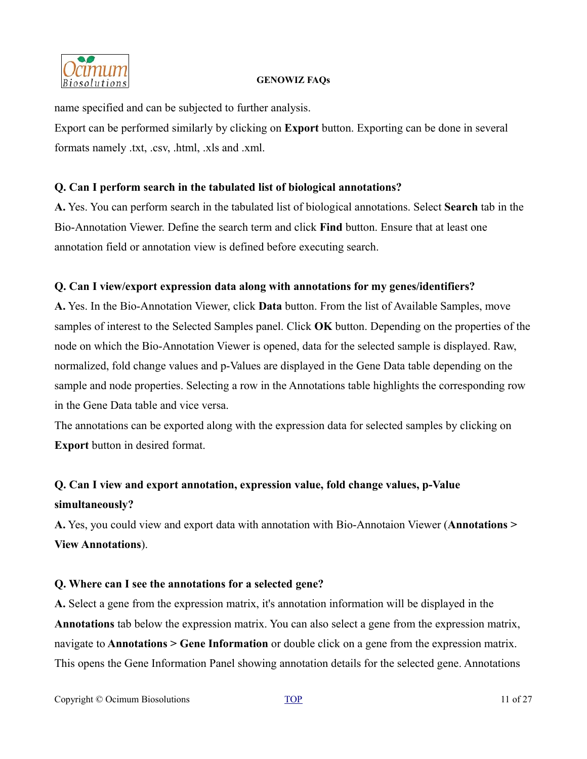

name specified and can be subjected to further analysis.

Export can be performed similarly by clicking on **Export** button. Exporting can be done in several formats namely .txt, .csv, .html, .xls and .xml.

# **Q. Can I perform search in the tabulated list of biological annotations?**

**A.** Yes. You can perform search in the tabulated list of biological annotations. Select **Search** tab in the Bio-Annotation Viewer. Define the search term and click **Find** button. Ensure that at least one annotation field or annotation view is defined before executing search.

# **Q. Can I view/export expression data along with annotations for my genes/identifiers?**

**A.** Yes. In the Bio-Annotation Viewer, click **Data** button. From the list of Available Samples, move samples of interest to the Selected Samples panel. Click **OK** button. Depending on the properties of the node on which the Bio-Annotation Viewer is opened, data for the selected sample is displayed. Raw, normalized, fold change values and p-Values are displayed in the Gene Data table depending on the sample and node properties. Selecting a row in the Annotations table highlights the corresponding row in the Gene Data table and vice versa.

The annotations can be exported along with the expression data for selected samples by clicking on **Export** button in desired format.

# **Q. Can I view and export annotation, expression value, fold change values, p-Value simultaneously?**

**A.** Yes, you could view and export data with annotation with Bio-Annotaion Viewer (**Annotations > View Annotations**).

# **Q. Where can I see the annotations for a selected gene?**

**A.** Select a gene from the expression matrix, it's annotation information will be displayed in the **Annotations** tab below the expression matrix. You can also select a gene from the expression matrix, navigate to **Annotations > Gene Information** or double click on a gene from the expression matrix. This opens the Gene Information Panel showing annotation details for the selected gene. Annotations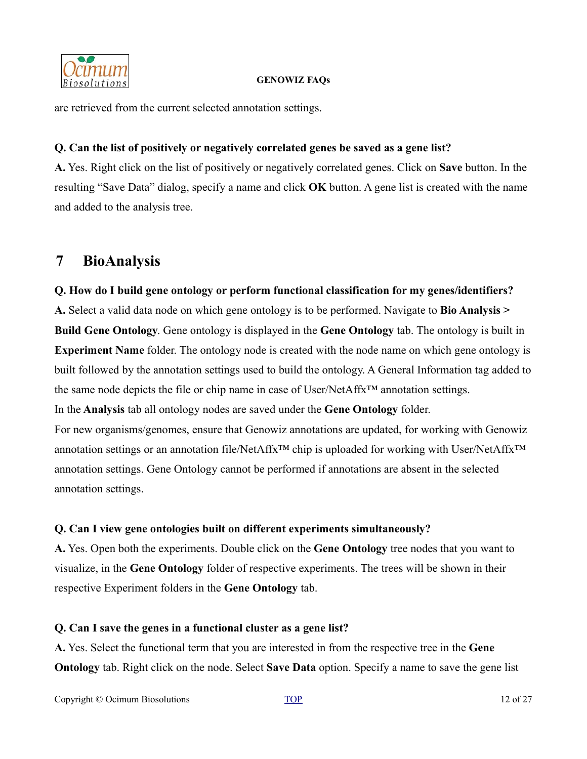

are retrieved from the current selected annotation settings.

# **Q. Can the list of positively or negatively correlated genes be saved as a gene list?**

**A.** Yes. Right click on the list of positively or negatively correlated genes. Click on **Save** button. In the resulting "Save Data" dialog, specify a name and click **OK** button. A gene list is created with the name and added to the analysis tree.

# <span id="page-11-0"></span>**7 BioAnalysis**

# **Q. How do I build gene ontology or perform functional classification for my genes/identifiers?**

**A.** Select a valid data node on which gene ontology is to be performed. Navigate to **Bio Analysis > Build Gene Ontology**. Gene ontology is displayed in the **Gene Ontology** tab. The ontology is built in **Experiment Name** folder. The ontology node is created with the node name on which gene ontology is built followed by the annotation settings used to build the ontology. A General Information tag added to the same node depicts the file or chip name in case of User/NetAffx™ annotation settings.

In the **Analysis** tab all ontology nodes are saved under the **Gene Ontology** folder.

For new organisms/genomes, ensure that Genowiz annotations are updated, for working with Genowiz annotation settings or an annotation file/NetAffx<sup>™</sup> chip is uploaded for working with User/NetAffx<sup>™</sup> annotation settings. Gene Ontology cannot be performed if annotations are absent in the selected annotation settings.

# **Q. Can I view gene ontologies built on different experiments simultaneously?**

**A.** Yes. Open both the experiments. Double click on the **Gene Ontology** tree nodes that you want to visualize, in the **Gene Ontology** folder of respective experiments. The trees will be shown in their respective Experiment folders in the **Gene Ontology** tab.

# **Q. Can I save the genes in a functional cluster as a gene list?**

**A.** Yes. Select the functional term that you are interested in from the respective tree in the **Gene Ontology** tab. Right click on the node. Select **Save Data** option. Specify a name to save the gene list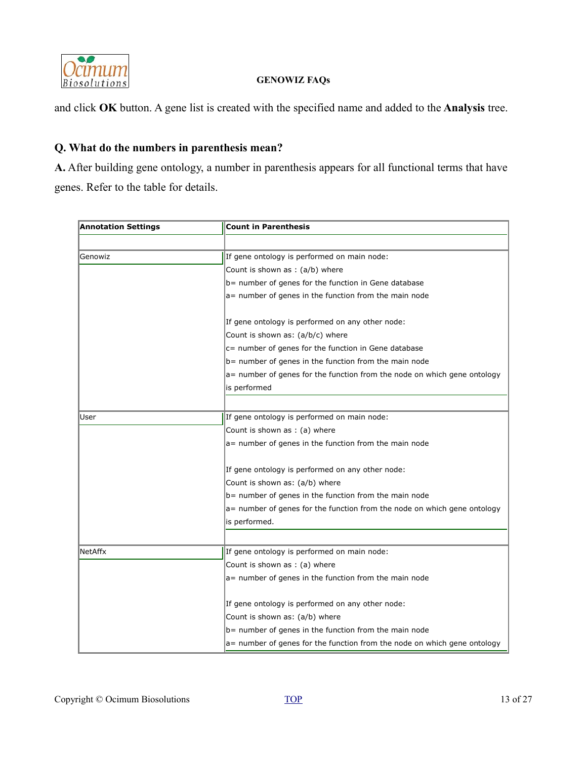

and click **OK** button. A gene list is created with the specified name and added to the **Analysis** tree.

### **Q. What do the numbers in parenthesis mean?**

**A.** After building gene ontology, a number in parenthesis appears for all functional terms that have genes. Refer to the table for details.

| <b>Annotation Settings</b> | <b>Count in Parenthesis</b>                                                               |  |
|----------------------------|-------------------------------------------------------------------------------------------|--|
|                            |                                                                                           |  |
| Genowiz                    | If gene ontology is performed on main node:                                               |  |
|                            | Count is shown as $:(a/b)$ where                                                          |  |
|                            | b = number of genes for the function in Gene database                                     |  |
|                            | $a=$ number of genes in the function from the main node                                   |  |
|                            | If gene ontology is performed on any other node:                                          |  |
|                            | Count is shown as: (a/b/c) where                                                          |  |
|                            | $c$ = number of genes for the function in Gene database                                   |  |
|                            | b= number of genes in the function from the main node                                     |  |
|                            | $a=$ number of genes for the function from the node on which gene ontology                |  |
|                            | is performed                                                                              |  |
|                            |                                                                                           |  |
| User                       | If gene ontology is performed on main node:                                               |  |
|                            | Count is shown as : (a) where                                                             |  |
|                            | a= number of genes in the function from the main node                                     |  |
|                            | If gene ontology is performed on any other node:                                          |  |
|                            | Count is shown as: (a/b) where                                                            |  |
|                            | $b$ = number of genes in the function from the main node                                  |  |
|                            | a= number of genes for the function from the node on which gene ontology<br>is performed. |  |
|                            |                                                                                           |  |
| NetAffx                    | If gene ontology is performed on main node:                                               |  |
|                            | Count is shown as : (a) where                                                             |  |
|                            | a= number of genes in the function from the main node                                     |  |
|                            |                                                                                           |  |
|                            | If gene ontology is performed on any other node:                                          |  |
|                            | Count is shown as: (a/b) where                                                            |  |
|                            | $b$ = number of genes in the function from the main node                                  |  |
|                            | a= number of genes for the function from the node on which gene ontology                  |  |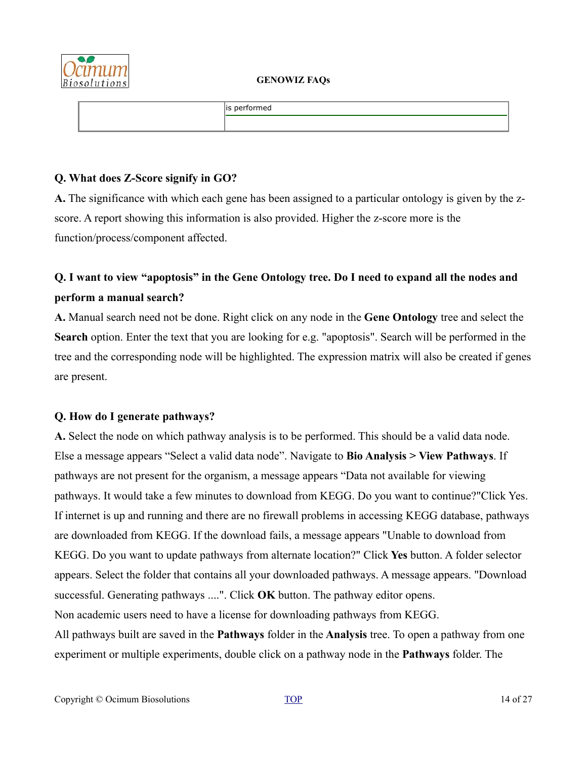

| is performed |
|--------------|
|              |

### **Q. What does Z-Score signify in GO?**

**A.** The significance with which each gene has been assigned to a particular ontology is given by the zscore. A report showing this information is also provided. Higher the z-score more is the function/process/component affected.

# **Q. I want to view "apoptosis" in the Gene Ontology tree. Do I need to expand all the nodes and perform a manual search?**

**A.** Manual search need not be done. Right click on any node in the **Gene Ontology** tree and select the **Search** option. Enter the text that you are looking for e.g. "apoptosis". Search will be performed in the tree and the corresponding node will be highlighted. The expression matrix will also be created if genes are present.

# **Q. How do I generate pathways?**

**A.** Select the node on which pathway analysis is to be performed. This should be a valid data node. Else a message appears "Select a valid data node". Navigate to **Bio Analysis > View Pathways**. If pathways are not present for the organism, a message appears "Data not available for viewing pathways. It would take a few minutes to download from KEGG. Do you want to continue?"Click Yes. If internet is up and running and there are no firewall problems in accessing KEGG database, pathways are downloaded from KEGG. If the download fails, a message appears "Unable to download from KEGG. Do you want to update pathways from alternate location?" Click **Yes** button. A folder selector appears. Select the folder that contains all your downloaded pathways. A message appears. "Download successful. Generating pathways ....". Click **OK** button. The pathway editor opens. Non academic users need to have a license for downloading pathways from KEGG. All pathways built are saved in the **Pathways** folder in the **Analysis** tree. To open a pathway from one experiment or multiple experiments, double click on a pathway node in the **Pathways** folder. The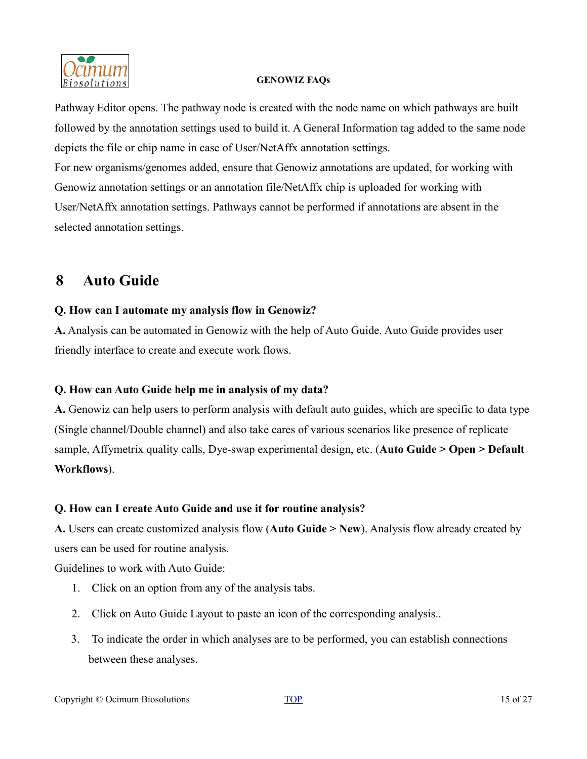

Pathway Editor opens. The pathway node is created with the node name on which pathways are built followed by the annotation settings used to build it. A General Information tag added to the same node depicts the file or chip name in case of User/NetAffx annotation settings. For new organisms/genomes added, ensure that Genowiz annotations are updated, for working with Genowiz annotation settings or an annotation file/NetAffx chip is uploaded for working with User/NetAffx annotation settings. Pathways cannot be performed if annotations are absent in the selected annotation settings.

# <span id="page-14-0"></span>**8 Auto Guide**

# **Q. How can I automate my analysis flow in Genowiz?**

**A.** Analysis can be automated in Genowiz with the help of Auto Guide. Auto Guide provides user friendly interface to create and execute work flows.

# **Q. How can Auto Guide help me in analysis of my data?**

**A.** Genowiz can help users to perform analysis with default auto guides, which are specific to data type (Single channel/Double channel) and also take cares of various scenarios like presence of replicate sample, Affymetrix quality calls, Dye-swap experimental design, etc. (**Auto Guide > Open > Default Workflows**).

# **Q. How can I create Auto Guide and use it for routine analysis?**

**A.** Users can create customized analysis flow (**Auto Guide > New**). Analysis flow already created by users can be used for routine analysis.

Guidelines to work with Auto Guide:

- 1. Click on an option from any of the analysis tabs.
- 2. Click on Auto Guide Layout to paste an icon of the corresponding analysis..
- 3. To indicate the order in which analyses are to be performed, you can establish connections between these analyses.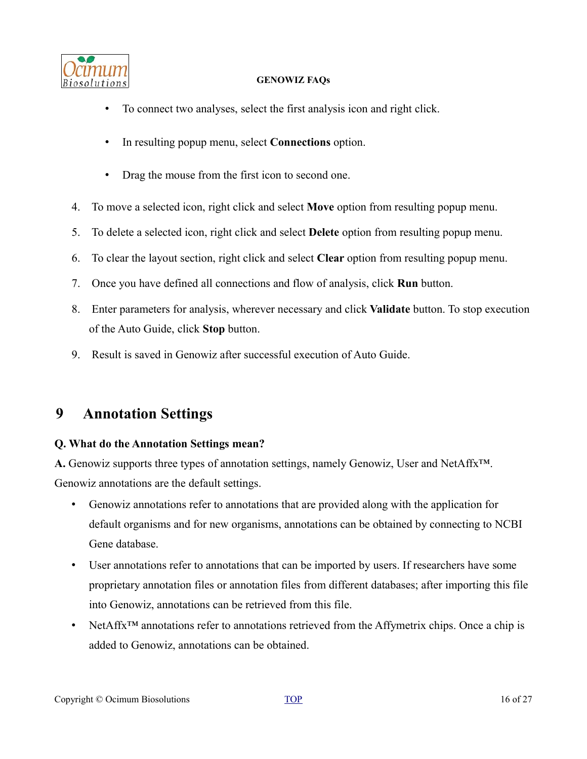

- To connect two analyses, select the first analysis icon and right click.
- In resulting popup menu, select **Connections** option.
- Drag the mouse from the first icon to second one.
- 4. To move a selected icon, right click and select **Move** option from resulting popup menu.
- 5. To delete a selected icon, right click and select **Delete** option from resulting popup menu.
- 6. To clear the layout section, right click and select **Clear** option from resulting popup menu.
- 7. Once you have defined all connections and flow of analysis, click **Run** button.
- 8. Enter parameters for analysis, wherever necessary and click **Validate** button. To stop execution of the Auto Guide, click **Stop** button.
- 9. Result is saved in Genowiz after successful execution of Auto Guide.

# <span id="page-15-0"></span>**9 Annotation Settings**

# **Q. What do the Annotation Settings mean?**

**A.** Genowiz supports three types of annotation settings, namely Genowiz, User and NetAffx™. Genowiz annotations are the default settings.

- Genowiz annotations refer to annotations that are provided along with the application for default organisms and for new organisms, annotations can be obtained by connecting to NCBI Gene database.
- User annotations refer to annotations that can be imported by users. If researchers have some proprietary annotation files or annotation files from different databases; after importing this file into Genowiz, annotations can be retrieved from this file.
- NetAffx<sup>™</sup> annotations refer to annotations retrieved from the Affymetrix chips. Once a chip is added to Genowiz, annotations can be obtained.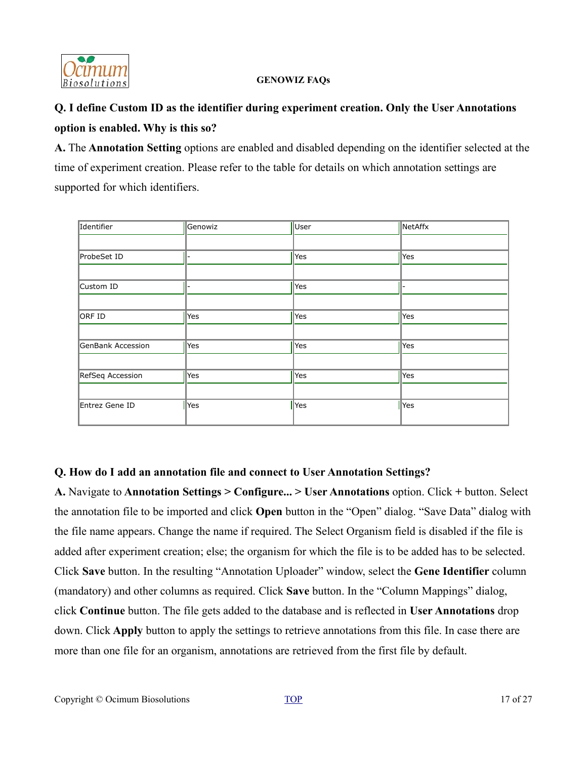

# **Q. I define Custom ID as the identifier during experiment creation. Only the User Annotations option is enabled. Why is this so?**

**A.** The **Annotation Setting** options are enabled and disabled depending on the identifier selected at the time of experiment creation. Please refer to the table for details on which annotation settings are supported for which identifiers.

| Identifier        | Genowiz | User            | NetAffx |
|-------------------|---------|-----------------|---------|
|                   |         |                 |         |
| ProbeSet ID       |         | Yes             | Yes     |
|                   |         |                 |         |
| Custom ID         |         | Yes             |         |
|                   |         |                 |         |
| ORF ID            | Yes     | Yes             | Yes     |
|                   |         |                 |         |
| GenBank Accession | Yes     | Yes             | Yes     |
|                   |         |                 |         |
| RefSeq Accession  | Yes     | Yes             | Yes     |
|                   |         |                 |         |
| Entrez Gene ID    | Yes     | $\parallel$ Yes | Yes     |
|                   |         |                 |         |

# **Q. How do I add an annotation file and connect to User Annotation Settings?**

**A.** Navigate to **Annotation Settings > Configure... > User Annotations** option. Click **+** button. Select the annotation file to be imported and click **Open** button in the "Open" dialog. "Save Data" dialog with the file name appears. Change the name if required. The Select Organism field is disabled if the file is added after experiment creation; else; the organism for which the file is to be added has to be selected. Click **Save** button. In the resulting "Annotation Uploader" window, select the **Gene Identifier** column (mandatory) and other columns as required. Click **Save** button. In the "Column Mappings" dialog, click **Continue** button. The file gets added to the database and is reflected in **User Annotations** drop down. Click **Apply** button to apply the settings to retrieve annotations from this file. In case there are more than one file for an organism, annotations are retrieved from the first file by default.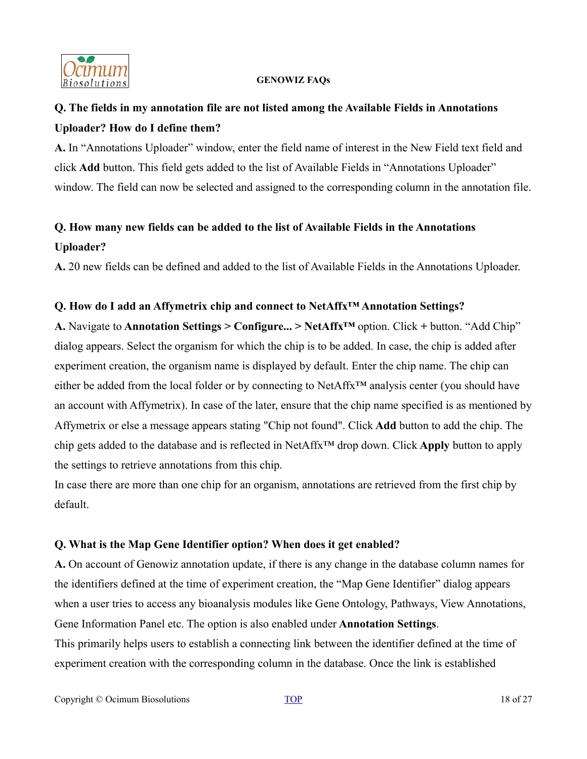

# **Q. The fields in my annotation file are not listed among the Available Fields in Annotations Uploader? How do I define them?**

**A.** In "Annotations Uploader" window, enter the field name of interest in the New Field text field and click **Add** button. This field gets added to the list of Available Fields in "Annotations Uploader" window. The field can now be selected and assigned to the corresponding column in the annotation file.

# **Q. How many new fields can be added to the list of Available Fields in the Annotations Uploader?**

**A.** 20 new fields can be defined and added to the list of Available Fields in the Annotations Uploader.

### **Q. How do I add an Affymetrix chip and connect to NetAffx™ Annotation Settings?**

**A.** Navigate to **Annotation Settings > Configure... > NetAffx™** option. Click **+** button. "Add Chip" dialog appears. Select the organism for which the chip is to be added. In case, the chip is added after experiment creation, the organism name is displayed by default. Enter the chip name. The chip can either be added from the local folder or by connecting to NetAffx™ analysis center (you should have an account with Affymetrix). In case of the later, ensure that the chip name specified is as mentioned by Affymetrix or else a message appears stating "Chip not found". Click **Add** button to add the chip. The chip gets added to the database and is reflected in NetAffx™ drop down. Click **Apply** button to apply the settings to retrieve annotations from this chip.

In case there are more than one chip for an organism, annotations are retrieved from the first chip by default.

### **Q. What is the Map Gene Identifier option? When does it get enabled?**

**A.** On account of Genowiz annotation update, if there is any change in the database column names for the identifiers defined at the time of experiment creation, the "Map Gene Identifier" dialog appears when a user tries to access any bioanalysis modules like Gene Ontology, Pathways, View Annotations, Gene Information Panel etc. The option is also enabled under **Annotation Settings**.

This primarily helps users to establish a connecting link between the identifier defined at the time of experiment creation with the corresponding column in the database. Once the link is established

Copyright © Ocimum Biosolutions [TOP](#page-0-0) 18 of 27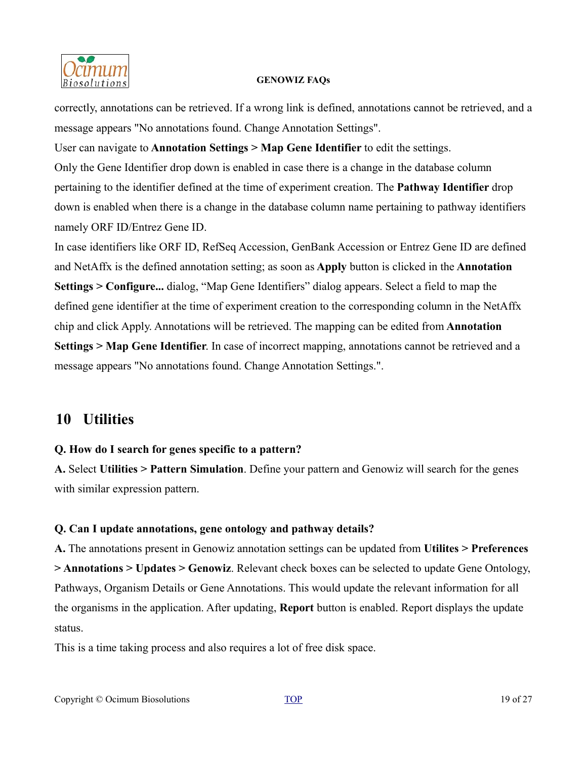

correctly, annotations can be retrieved. If a wrong link is defined, annotations cannot be retrieved, and a message appears "No annotations found. Change Annotation Settings".

User can navigate to **Annotation Settings > Map Gene Identifier** to edit the settings. Only the Gene Identifier drop down is enabled in case there is a change in the database column pertaining to the identifier defined at the time of experiment creation. The **Pathway Identifier** drop down is enabled when there is a change in the database column name pertaining to pathway identifiers namely ORF ID/Entrez Gene ID.

In case identifiers like ORF ID, RefSeq Accession, GenBank Accession or Entrez Gene ID are defined and NetAffx is the defined annotation setting; as soon as **Apply** button is clicked in the **Annotation Settings > Configure...** dialog, "Map Gene Identifiers" dialog appears. Select a field to map the defined gene identifier at the time of experiment creation to the corresponding column in the NetAffx chip and click Apply. Annotations will be retrieved. The mapping can be edited from **Annotation Settings > Map Gene Identifier**. In case of incorrect mapping, annotations cannot be retrieved and a message appears "No annotations found. Change Annotation Settings.".

# <span id="page-18-0"></span>**10 Utilities**

# **Q. How do I search for genes specific to a pattern?**

**A.** Select **Utilities > Pattern Simulation**. Define your pattern and Genowiz will search for the genes with similar expression pattern.

# **Q. Can I update annotations, gene ontology and pathway details?**

**A.** The annotations present in Genowiz annotation settings can be updated from **Utilites > Preferences > Annotations > Updates > Genowiz**. Relevant check boxes can be selected to update Gene Ontology, Pathways, Organism Details or Gene Annotations. This would update the relevant information for all the organisms in the application. After updating, **Report** button is enabled. Report displays the update status.

This is a time taking process and also requires a lot of free disk space.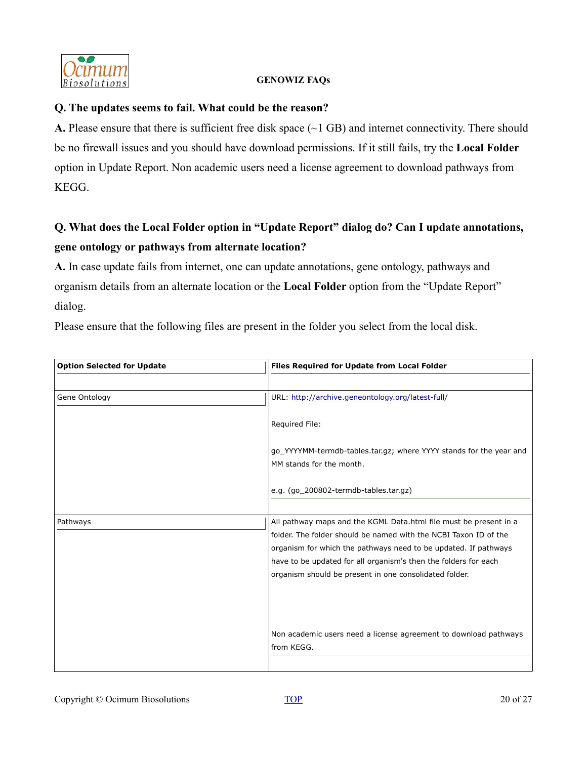

### **Q. The updates seems to fail. What could be the reason?**

**A.** Please ensure that there is sufficient free disk space (~1 GB) and internet connectivity. There should be no firewall issues and you should have download permissions. If it still fails, try the **Local Folder** option in Update Report. Non academic users need a license agreement to download pathways from KEGG.

# **Q. What does the Local Folder option in "Update Report" dialog do? Can I update annotations, gene ontology or pathways from alternate location?**

**A.** In case update fails from internet, one can update annotations, gene ontology, pathways and organism details from an alternate location or the **Local Folder** option from the "Update Report" dialog.

Please ensure that the following files are present in the folder you select from the local disk.

| <b>Option Selected for Update</b> | <b>Files Required for Update from Local Folder</b>                                                                        |
|-----------------------------------|---------------------------------------------------------------------------------------------------------------------------|
|                                   |                                                                                                                           |
| Gene Ontology                     | URL: http://archive.geneontology.org/latest-full/                                                                         |
|                                   | Required File:                                                                                                            |
|                                   | go_YYYYMM-termdb-tables.tar.gz; where YYYY stands for the year and                                                        |
|                                   | MM stands for the month.                                                                                                  |
|                                   | e.g. (go_200802-termdb-tables.tar.gz)                                                                                     |
|                                   |                                                                                                                           |
| Pathways                          | All pathway maps and the KGML Data.html file must be present in a                                                         |
|                                   | folder. The folder should be named with the NCBI Taxon ID of the                                                          |
|                                   | organism for which the pathways need to be updated. If pathways                                                           |
|                                   | have to be updated for all organism's then the folders for each<br>organism should be present in one consolidated folder. |
|                                   |                                                                                                                           |
|                                   |                                                                                                                           |
|                                   |                                                                                                                           |
|                                   | Non academic users need a license agreement to download pathways                                                          |
|                                   | from KEGG.                                                                                                                |
|                                   |                                                                                                                           |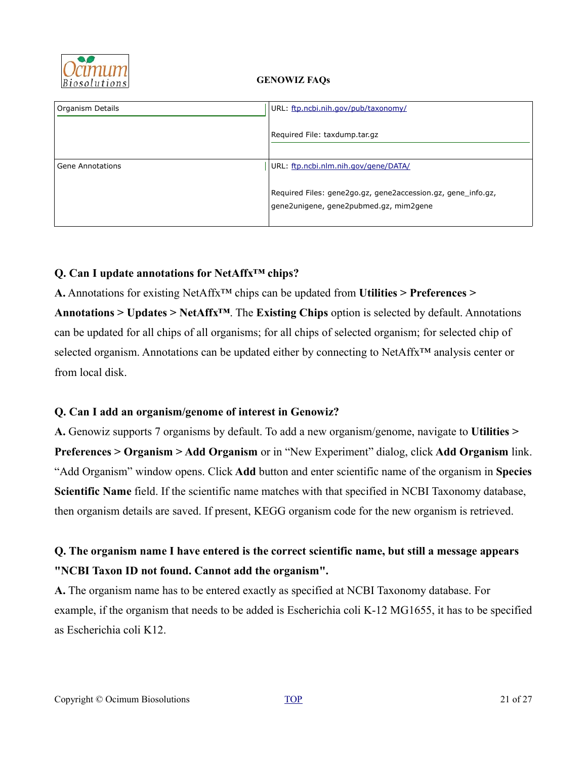

| Organism Details | URL: ftp.ncbi.nih.gov/pub/taxonomy/                                                                    |
|------------------|--------------------------------------------------------------------------------------------------------|
|                  | Required File: taxdump.tar.gz                                                                          |
|                  |                                                                                                        |
| Gene Annotations | URL: ftp.ncbi.nlm.nih.gov/gene/DATA/                                                                   |
|                  | Required Files: gene2go.gz, gene2accession.gz, gene_info.gz,<br>gene2unigene, gene2pubmed.gz, mim2gene |

# **Q. Can I update annotations for NetAffx™ chips?**

**A.** Annotations for existing NetAffx™ chips can be updated from **Utilities > Preferences > Annotations > Updates > NetAffx™**. The **Existing Chips** option is selected by default. Annotations can be updated for all chips of all organisms; for all chips of selected organism; for selected chip of selected organism. Annotations can be updated either by connecting to NetAffx<sup>™</sup> analysis center or from local disk.

# **Q. Can I add an organism/genome of interest in Genowiz?**

**A.** Genowiz supports 7 organisms by default. To add a new organism/genome, navigate to **Utilities > Preferences > Organism > Add Organism** or in "New Experiment" dialog, click **Add Organism** link. "Add Organism" window opens. Click **Add** button and enter scientific name of the organism in **Species Scientific Name** field. If the scientific name matches with that specified in NCBI Taxonomy database, then organism details are saved. If present, KEGG organism code for the new organism is retrieved.

# **Q. The organism name I have entered is the correct scientific name, but still a message appears "NCBI Taxon ID not found. Cannot add the organism".**

**A.** The organism name has to be entered exactly as specified at NCBI Taxonomy database. For example, if the organism that needs to be added is Escherichia coli K-12 MG1655, it has to be specified as Escherichia coli K12.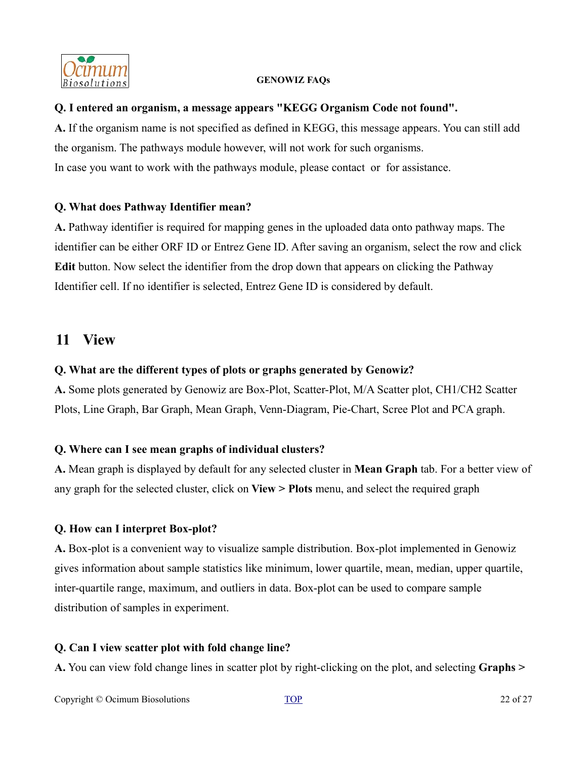

### **Q. I entered an organism, a message appears "KEGG Organism Code not found".**

**A.** If the organism name is not specified as defined in KEGG, this message appears. You can still add the organism. The pathways module however, will not work for such organisms. In case you want to work with the pathways module, please contact or for assistance.

# **Q. What does Pathway Identifier mean?**

**A.** Pathway identifier is required for mapping genes in the uploaded data onto pathway maps. The identifier can be either ORF ID or Entrez Gene ID. After saving an organism, select the row and click **Edit** button. Now select the identifier from the drop down that appears on clicking the Pathway Identifier cell. If no identifier is selected, Entrez Gene ID is considered by default.

# <span id="page-21-0"></span>**11 View**

### **Q. What are the different types of plots or graphs generated by Genowiz?**

**A.** Some plots generated by Genowiz are Box-Plot, Scatter-Plot, M/A Scatter plot, CH1/CH2 Scatter Plots, Line Graph, Bar Graph, Mean Graph, Venn-Diagram, Pie-Chart, Scree Plot and PCA graph.

# **Q. Where can I see mean graphs of individual clusters?**

**A.** Mean graph is displayed by default for any selected cluster in **Mean Graph** tab. For a better view of any graph for the selected cluster, click on **View > Plots** menu, and select the required graph

### **Q. How can I interpret Box-plot?**

**A.** Box-plot is a convenient way to visualize sample distribution. Box-plot implemented in Genowiz gives information about sample statistics like minimum, lower quartile, mean, median, upper quartile, inter-quartile range, maximum, and outliers in data. Box-plot can be used to compare sample distribution of samples in experiment.

### **Q. Can I view scatter plot with fold change line?**

**A.** You can view fold change lines in scatter plot by right-clicking on the plot, and selecting **Graphs >**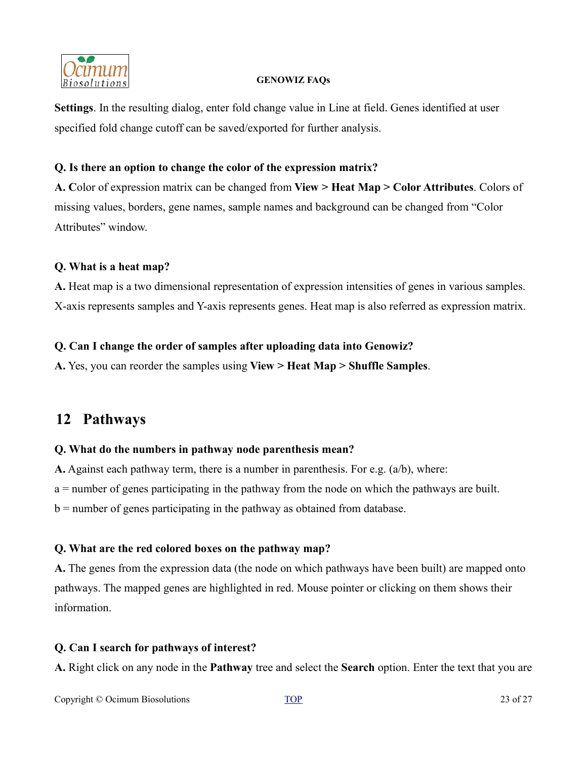

**Settings**. In the resulting dialog, enter fold change value in Line at field. Genes identified at user specified fold change cutoff can be saved/exported for further analysis.

### **Q. Is there an option to change the color of the expression matrix?**

**A. C**olor of expression matrix can be changed from **View > Heat Map > Color Attributes**. Colors of missing values, borders, gene names, sample names and background can be changed from "Color Attributes" window.

# **Q. What is a heat map?**

**A.** Heat map is a two dimensional representation of expression intensities of genes in various samples. X-axis represents samples and Y-axis represents genes. Heat map is also referred as expression matrix.

# **Q. Can I change the order of samples after uploading data into Genowiz?**

**A.** Yes, you can reorder the samples using **View > Heat Map > Shuffle Samples**.

# <span id="page-22-0"></span>**12 Pathways**

# **Q. What do the numbers in pathway node parenthesis mean?**

**A.** Against each pathway term, there is a number in parenthesis. For e.g. (a/b), where:

a = number of genes participating in the pathway from the node on which the pathways are built.

 $b =$  number of genes participating in the pathway as obtained from database.

# **Q. What are the red colored boxes on the pathway map?**

**A.** The genes from the expression data (the node on which pathways have been built) are mapped onto pathways. The mapped genes are highlighted in red. Mouse pointer or clicking on them shows their information.

# **Q. Can I search for pathways of interest?**

**A.** Right click on any node in the **Pathway** tree and select the **Search** option. Enter the text that you are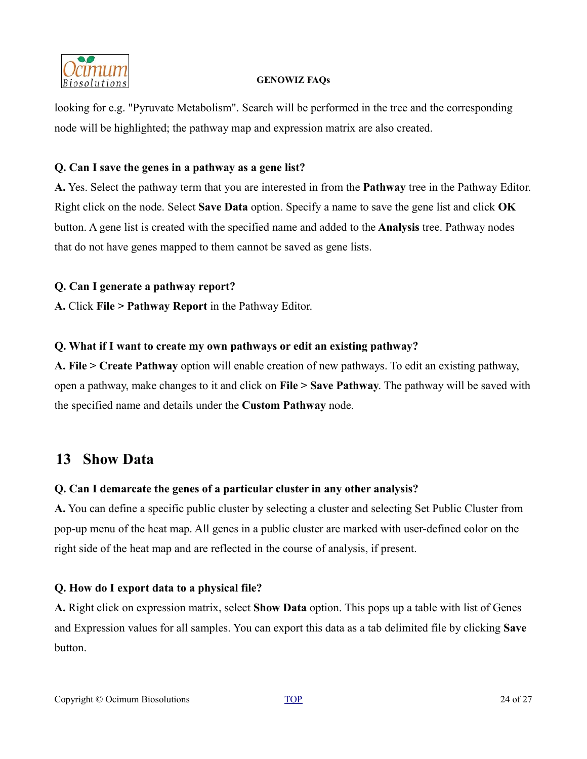

looking for e.g. "Pyruvate Metabolism". Search will be performed in the tree and the corresponding node will be highlighted; the pathway map and expression matrix are also created.

# **Q. Can I save the genes in a pathway as a gene list?**

**A.** Yes. Select the pathway term that you are interested in from the **Pathway** tree in the Pathway Editor. Right click on the node. Select **Save Data** option. Specify a name to save the gene list and click **OK** button. A gene list is created with the specified name and added to the **Analysis** tree. Pathway nodes that do not have genes mapped to them cannot be saved as gene lists.

# **Q. Can I generate a pathway report?**

**A.** Click **File > Pathway Report** in the Pathway Editor.

# **Q. What if I want to create my own pathways or edit an existing pathway?**

**A. File > Create Pathway** option will enable creation of new pathways. To edit an existing pathway, open a pathway, make changes to it and click on **File > Save Pathway**. The pathway will be saved with the specified name and details under the **Custom Pathway** node.

# <span id="page-23-0"></span>**13 Show Data**

# **Q. Can I demarcate the genes of a particular cluster in any other analysis?**

**A.** You can define a specific public cluster by selecting a cluster and selecting Set Public Cluster from pop-up menu of the heat map. All genes in a public cluster are marked with user-defined color on the right side of the heat map and are reflected in the course of analysis, if present.

# **Q. How do I export data to a physical file?**

**A.** Right click on expression matrix, select **Show Data** option. This pops up a table with list of Genes and Expression values for all samples. You can export this data as a tab delimited file by clicking **Save** button.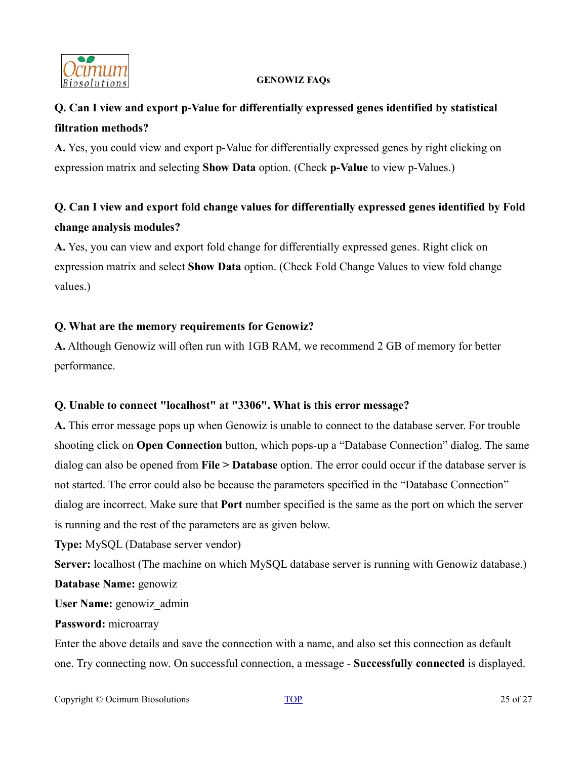

# **Q. Can I view and export p-Value for differentially expressed genes identified by statistical filtration methods?**

**A.** Yes, you could view and export p-Value for differentially expressed genes by right clicking on expression matrix and selecting **Show Data** option. (Check **p-Value** to view p-Values.)

# **Q. Can I view and export fold change values for differentially expressed genes identified by Fold change analysis modules?**

**A.** Yes, you can view and export fold change for differentially expressed genes. Right click on expression matrix and select **Show Data** option. (Check Fold Change Values to view fold change values.)

# **Q. What are the memory requirements for Genowiz?**

**A.** Although Genowiz will often run with 1GB RAM, we recommend 2 GB of memory for better performance.

# **Q. Unable to connect "localhost" at "3306". What is this error message?**

**A.** This error message pops up when Genowiz is unable to connect to the database server. For trouble shooting click on **Open Connection** button, which pops-up a "Database Connection" dialog. The same dialog can also be opened from **File > Database** option. The error could occur if the database server is not started. The error could also be because the parameters specified in the "Database Connection" dialog are incorrect. Make sure that **Port** number specified is the same as the port on which the server is running and the rest of the parameters are as given below.

**Type:** MySQL (Database server vendor)

**Server:** localhost (The machine on which MySQL database server is running with Genowiz database.) **Database Name:** genowiz

**User Name:** genowiz\_admin

# **Password:** microarray

Enter the above details and save the connection with a name, and also set this connection as default one. Try connecting now. On successful connection, a message - **Successfully connected** is displayed.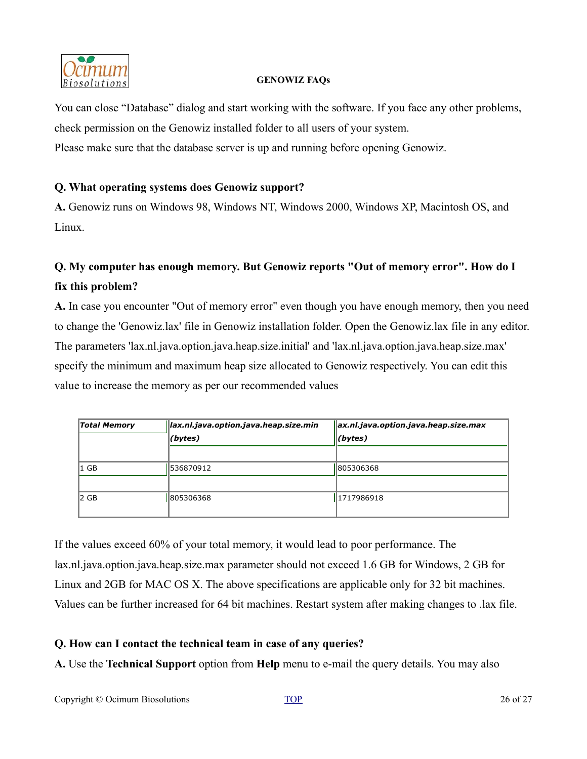

You can close "Database" dialog and start working with the software. If you face any other problems, check permission on the Genowiz installed folder to all users of your system. Please make sure that the database server is up and running before opening Genowiz.

# **Q. What operating systems does Genowiz support?**

**A.** Genowiz runs on Windows 98, Windows NT, Windows 2000, Windows XP, Macintosh OS, and Linux.

# **Q. My computer has enough memory. But Genowiz reports "Out of memory error". How do I fix this problem?**

**A.** In case you encounter "Out of memory error" even though you have enough memory, then you need to change the 'Genowiz.lax' file in Genowiz installation folder. Open the Genowiz.lax file in any editor. The parameters 'lax.nl.java.option.java.heap.size.initial' and 'lax.nl.java.option.java.heap.size.max' specify the minimum and maximum heap size allocated to Genowiz respectively. You can edit this value to increase the memory as per our recommended values

| <b>Total Memory</b> | lax.nl.java.option.java.heap.size.min | ax.nl.java.option.java.heap.size.max |
|---------------------|---------------------------------------|--------------------------------------|
|                     | (bytes)                               | $($ bytes $)$                        |
|                     |                                       |                                      |
| $ 1 \text{ GB} $    | 536870912                             | 805306368                            |
|                     |                                       |                                      |
| 2 GB                | 805306368                             | 1717986918                           |
|                     |                                       |                                      |

If the values exceed 60% of your total memory, it would lead to poor performance. The lax.nl.java.option.java.heap.size.max parameter should not exceed 1.6 GB for Windows, 2 GB for Linux and 2GB for MAC OS X. The above specifications are applicable only for 32 bit machines. Values can be further increased for 64 bit machines. Restart system after making changes to .lax file.

# **Q. How can I contact the technical team in case of any queries?**

**A.** Use the **Technical Support** option from **Help** menu to e-mail the query details. You may also